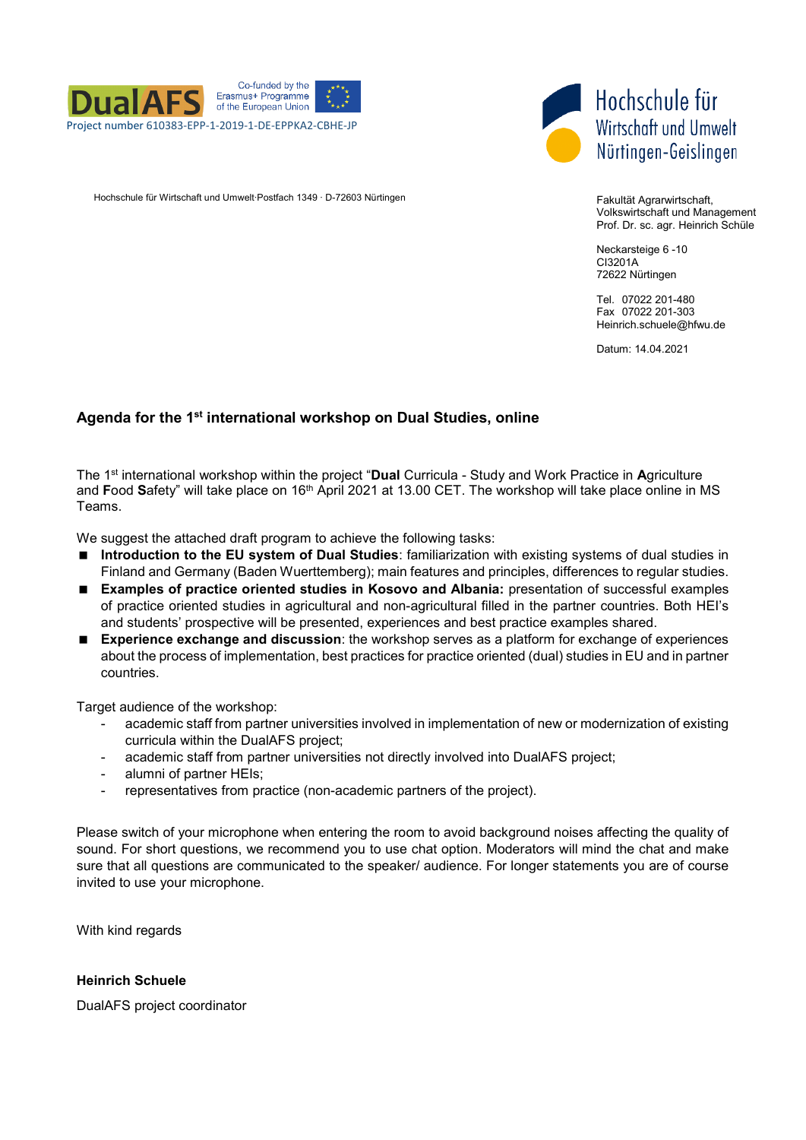



Hochschule für Wirtschaft und Umwelt∙Postfach 1349 ∙ D-72603 Nürtingen Fakultät Agramirtschaft,

Volkswirtschaft und Management Prof. Dr. sc. agr. Heinrich Schüle

Neckarsteige 6 -10 CI3201A 72622 Nürtingen

Tel. 07022 201-480 Fax 07022 201-303 Heinrich.schuele@hfwu.de

Datum: 14.04.2021

## **Agenda for the 1st international workshop on Dual Studies, online**

The 1st international workshop within the project "**Dual** Curricula - Study and Work Practice in **A**griculture and **F**ood **S**afety" will take place on 16th April 2021 at 13.00 CET. The workshop will take place online in MS Teams.

We suggest the attached draft program to achieve the following tasks:

- **Introduction to the EU system of Dual Studies**: familiarization with existing systems of dual studies in Finland and Germany (Baden Wuerttemberg); main features and principles, differences to regular studies.
- **Examples of practice oriented studies in Kosovo and Albania:** presentation of successful examples of practice oriented studies in agricultural and non-agricultural filled in the partner countries. Both HEI's and students' prospective will be presented, experiences and best practice examples shared.
- **Experience exchange and discussion**: the workshop serves as a platform for exchange of experiences about the process of implementation, best practices for practice oriented (dual) studies in EU and in partner countries.

Target audience of the workshop:

- academic staff from partner universities involved in implementation of new or modernization of existing curricula within the DualAFS project;
- academic staff from partner universities not directly involved into DualAFS project;
- alumni of partner HEIs;
- representatives from practice (non-academic partners of the project).

Please switch of your microphone when entering the room to avoid background noises affecting the quality of sound. For short questions, we recommend you to use chat option. Moderators will mind the chat and make sure that all questions are communicated to the speaker/ audience. For longer statements you are of course invited to use your microphone.

With kind regards

#### **Heinrich Schuele**

DualAFS project coordinator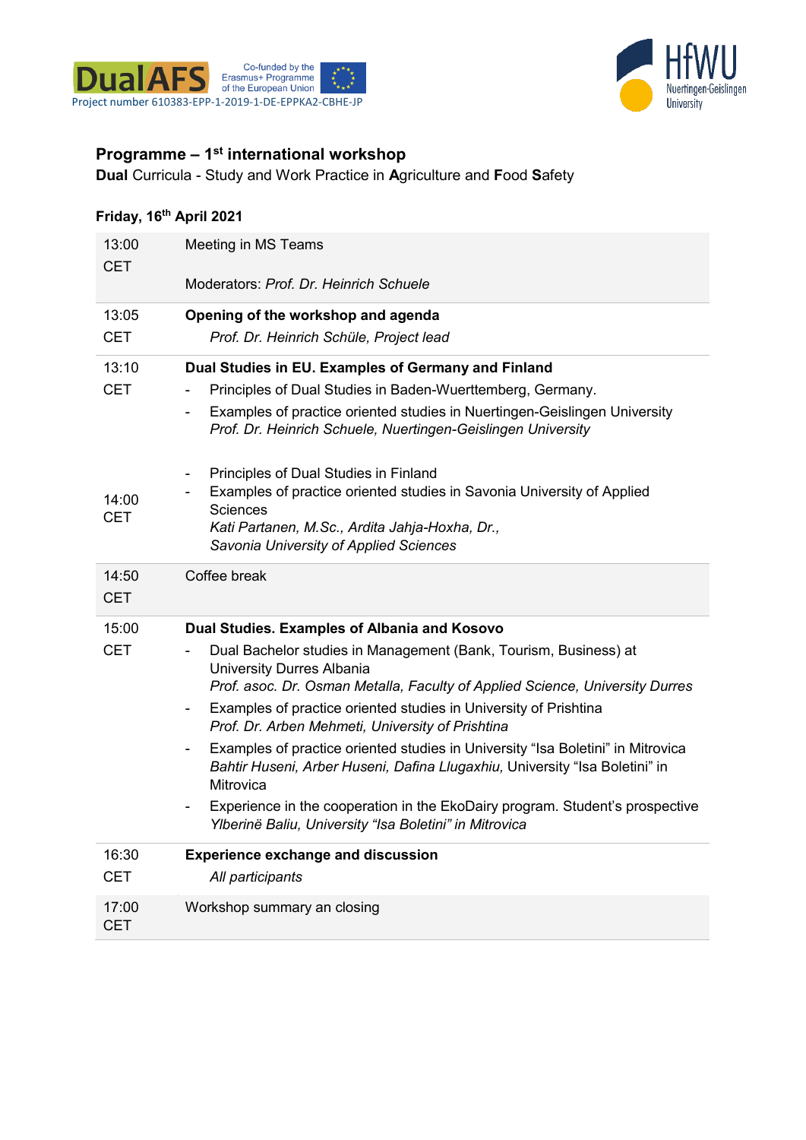



# **Programme – 1st international workshop**

**Dual** Curricula - Study and Work Practice in **A**griculture and **F**ood **S**afety

# **Friday, 16th April 2021**

| 13:00<br><b>CET</b> | Meeting in MS Teams                                                                                                                                                          |
|---------------------|------------------------------------------------------------------------------------------------------------------------------------------------------------------------------|
|                     | Moderators: <i>Prof. Dr. Heinrich Schuele</i>                                                                                                                                |
| 13:05               | Opening of the workshop and agenda                                                                                                                                           |
| CET                 | Prof. Dr. Heinrich Schüle, Project lead                                                                                                                                      |
| 13:10               | Dual Studies in EU. Examples of Germany and Finland                                                                                                                          |
| <b>CET</b>          | Principles of Dual Studies in Baden-Wuerttemberg, Germany.                                                                                                                   |
|                     | Examples of practice oriented studies in Nuertingen-Geislingen University<br>Prof. Dr. Heinrich Schuele, Nuertingen-Geislingen University                                    |
|                     | Principles of Dual Studies in Finland                                                                                                                                        |
| 14:00               | Examples of practice oriented studies in Savonia University of Applied<br><b>Sciences</b>                                                                                    |
| <b>CET</b>          | Kati Partanen, M.Sc., Ardita Jahja-Hoxha, Dr.,                                                                                                                               |
|                     | Savonia University of Applied Sciences                                                                                                                                       |
| 14:50<br><b>CET</b> | Coffee break                                                                                                                                                                 |
| 15:00               | Dual Studies. Examples of Albania and Kosovo                                                                                                                                 |
| <b>CET</b>          | Dual Bachelor studies in Management (Bank, Tourism, Business) at<br><b>University Durres Albania</b>                                                                         |
|                     | Prof. asoc. Dr. Osman Metalla, Faculty of Applied Science, University Durres<br>Examples of practice oriented studies in University of Prishtina<br>$\overline{\phantom{a}}$ |
|                     | Prof. Dr. Arben Mehmeti, University of Prishtina                                                                                                                             |
|                     | Examples of practice oriented studies in University "Isa Boletini" in Mitrovica<br>Bahtir Huseni, Arber Huseni, Dafina Llugaxhiu, University "Isa Boletini" in<br>Mitrovica  |
|                     | Experience in the cooperation in the EkoDairy program. Student's prospective<br>Ylberinë Baliu, University "Isa Boletini" in Mitrovica                                       |
| 16:30               | <b>Experience exchange and discussion</b>                                                                                                                                    |
| CET                 | All participants                                                                                                                                                             |
| 17:00<br>CET        | Workshop summary an closing                                                                                                                                                  |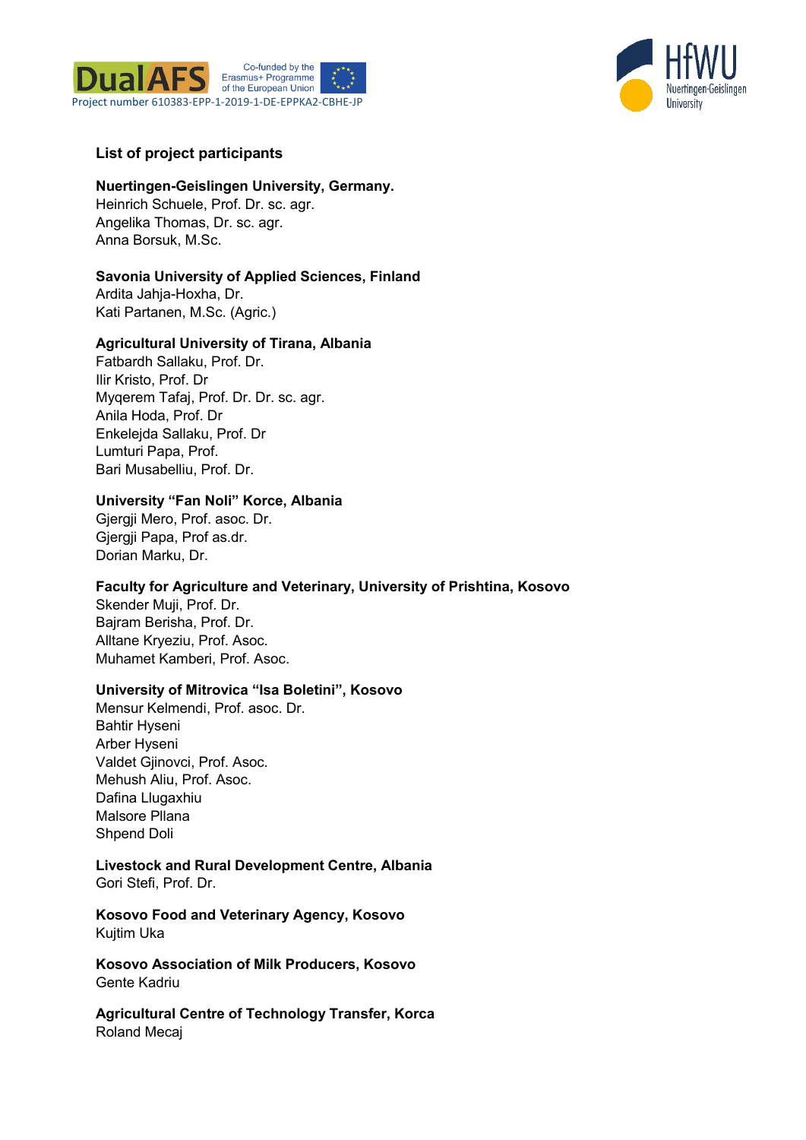



## **List of project participants**

#### **Nuertingen-Geislingen University, Germany.**  Heinrich Schuele, Prof. Dr. sc. agr. Angelika Thomas, Dr. sc. agr. Anna Borsuk, M.Sc.

# **Savonia University of Applied Sciences, Finland** Ardita Jahja-Hoxha, Dr.

Kati Partanen, M.Sc. (Agric.)

### **Agricultural University of Tirana, Albania**

Fatbardh Sallaku, Prof. Dr. Ilir Kristo, Prof. Dr Myqerem Tafaj, Prof. Dr. Dr. sc. agr. Anila Hoda, Prof. Dr Enkelejda Sallaku, Prof. Dr Lumturi Papa, Prof. Bari Musabelliu, Prof. Dr.

### **University "Fan Noli" Korce, Albania**

Gjergji Mero, Prof. asoc. Dr. Gjergji Papa, Prof as.dr. Dorian Marku, Dr.

### **Faculty for Agriculture and Veterinary, University of Prishtina, Kosovo**

Skender Muji, Prof. Dr. Bajram Berisha, Prof. Dr. Alltane Kryeziu, Prof. Asoc. Muhamet Kamberi, Prof. Asoc.

#### **University of Mitrovica "Isa Boletini", Kosovo**

Mensur Kelmendi, Prof. asoc. Dr. Bahtir Hyseni Arber Hyseni Valdet Gjinovci, Prof. Asoc. Mehush Aliu, Prof. Asoc. Dafina Llugaxhiu Malsore Pllana Shpend Doli

# **Livestock and Rural Development Centre, Albania**

Gori Stefi, Prof. Dr.

**Kosovo Food and Veterinary Agency, Kosovo** Kujtim Uka

**Kosovo Association of Milk Producers, Kosovo** Gente Kadriu

**Agricultural Centre of Technology Transfer, Korca** Roland Mecaj